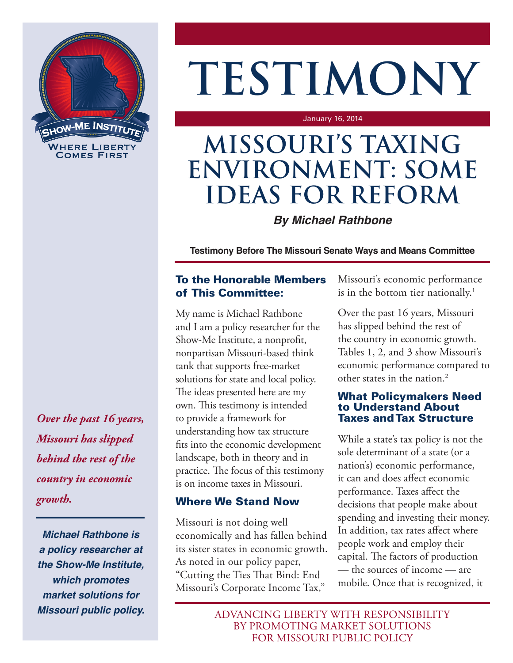

# **TESTIMONY**

January 16, 2014

## **MISSOURI'S TAXING ENVIRONMENT: SOME IDEAS FOR REFORM**

#### *By Michael Rathbone*

**Testimony Before The Missouri Senate Ways and Means Committee**

#### To the Honorable Members of This Committee:

My name is Michael Rathbone and I am a policy researcher for the Show-Me Institute, a nonprofit, nonpartisan Missouri-based think tank that supports free-market solutions for state and local policy. The ideas presented here are my own. This testimony is intended to provide a framework for understanding how tax structure fits into the economic development landscape, both in theory and in practice. The focus of this testimony is on income taxes in Missouri.

#### Where We Stand Now

Missouri is not doing well economically and has fallen behind its sister states in economic growth. As noted in our policy paper, "Cutting the Ties That Bind: End Missouri's Corporate Income Tax,"

Missouri's economic performance is in the bottom tier nationally.<sup>1</sup>

Over the past 16 years, Missouri has slipped behind the rest of the country in economic growth. Tables 1, 2, and 3 show Missouri's economic performance compared to other states in the nation.<sup>2</sup>

#### What Policymakers Need to Understand About Taxes and Tax Structure

While a state's tax policy is not the sole determinant of a state (or a nation's) economic performance, it can and does affect economic performance. Taxes affect the decisions that people make about spending and investing their money. In addition, tax rates affect where people work and employ their capital. The factors of production — the sources of income — are mobile. Once that is recognized, it

ADVANCING LIBERTY WITH RESPONSIBILITY BY PROMOTING MARKET SOLUTIONS FOR MISSOURI PUBLIC POLICY

*Over the past 16 years, Missouri has slipped behind the rest of the country in economic growth.*

*Michael Rathbone is a policy researcher at the Show-Me Institute, which promotes market solutions for Missouri public policy.*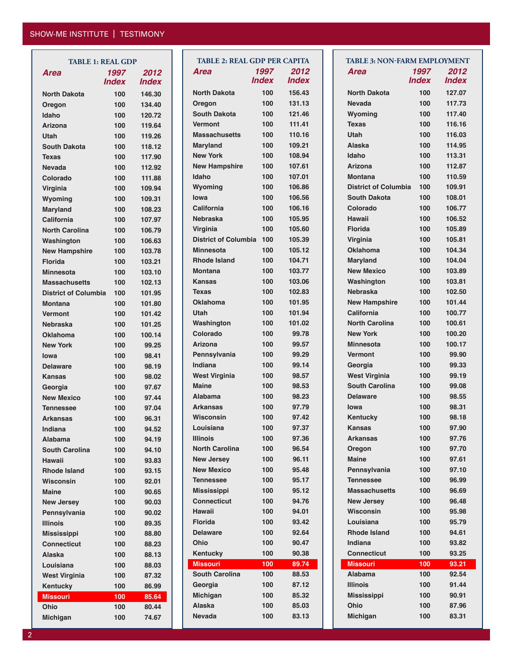#### SHOW-ME INSTITUTE | TESTIMONY

| <b>TABLE 1: REAL GDP</b>    |              |              |  |  |  |  |  |
|-----------------------------|--------------|--------------|--|--|--|--|--|
| Area                        | 1997         | 2012         |  |  |  |  |  |
|                             | <b>Index</b> | <b>Index</b> |  |  |  |  |  |
| <b>North Dakota</b>         | 100          | 146.30       |  |  |  |  |  |
| Oregon                      | 100          | 134.40       |  |  |  |  |  |
| Idaho                       | 100          | 120.72       |  |  |  |  |  |
| <b>Arizona</b>              | 100          | 119.64       |  |  |  |  |  |
| Utah                        | 100          | 119.26       |  |  |  |  |  |
| <b>South Dakota</b>         | 100          | 118.12       |  |  |  |  |  |
| Texas                       | 100          | 117.90       |  |  |  |  |  |
| Nevada                      | 100          | 112.92       |  |  |  |  |  |
| Colorado                    | 100          | 111.88       |  |  |  |  |  |
| Virginia                    | 100          | 109.94       |  |  |  |  |  |
| Wyoming                     | 100          | 109.31       |  |  |  |  |  |
| <b>Maryland</b>             | 100          | 108.23       |  |  |  |  |  |
| California                  | 100          | 107.97       |  |  |  |  |  |
| <b>North Carolina</b>       | 100          | 106.79       |  |  |  |  |  |
| Washington                  | 100          | 106.63       |  |  |  |  |  |
| <b>New Hampshire</b>        | 100          | 103.78       |  |  |  |  |  |
| <b>Florida</b>              | 100          | 103.21       |  |  |  |  |  |
| <b>Minnesota</b>            | 100          | 103.10       |  |  |  |  |  |
| <b>Massachusetts</b>        | 100          | 102.13       |  |  |  |  |  |
| <b>District of Columbia</b> | 100          | 101.95       |  |  |  |  |  |
| <b>Montana</b>              | 100          | 101.80       |  |  |  |  |  |
| Vermont                     | 100          | 101.42       |  |  |  |  |  |
| Nebraska                    | 100          | 101.25       |  |  |  |  |  |
| Oklahoma                    | 100          | 100.14       |  |  |  |  |  |
| <b>New York</b>             | 100          | 99.25        |  |  |  |  |  |
| lowa                        | 100          | 98.41        |  |  |  |  |  |
| <b>Delaware</b>             | 100          | 98.19        |  |  |  |  |  |
| Kansas                      | 100          | 98.02        |  |  |  |  |  |
| Georgia                     | 100          | 97.67        |  |  |  |  |  |
| <b>New Mexico</b>           | 100          | 97.44        |  |  |  |  |  |
| Tennessee                   | 100          | 97.04        |  |  |  |  |  |
| Arkansas                    | 100          | 96.31        |  |  |  |  |  |
| <b>Indiana</b>              | 100          | 94.52        |  |  |  |  |  |
| Alabama                     | 100          | 94.19        |  |  |  |  |  |
| <b>South Carolina</b>       | 100          | 94.10        |  |  |  |  |  |
| Hawaii                      | 100          | 93.83        |  |  |  |  |  |
| <b>Rhode Island</b>         | 100          | 93.15        |  |  |  |  |  |
| Wisconsin                   | 100          | 92.01        |  |  |  |  |  |
| <b>Maine</b>                | 100          | 90.65        |  |  |  |  |  |
| <b>New Jersey</b>           | 100          | 90.03        |  |  |  |  |  |
| Pennsylvania                | 100          | 90.02        |  |  |  |  |  |
| <b>Illinois</b>             | 100          | 89.35        |  |  |  |  |  |
| <b>Mississippi</b>          | 100          | 88.80        |  |  |  |  |  |
| <b>Connecticut</b>          | 100          | 88.23        |  |  |  |  |  |
| Alaska                      | 100          | 88.13        |  |  |  |  |  |
| Louisiana                   | 100          | 88.03        |  |  |  |  |  |
| West Virginia               | 100          | 87.32        |  |  |  |  |  |
| <b>Kentucky</b>             | 100          | 86.99        |  |  |  |  |  |
| <b>Missouri</b>             | 100          | 85.64        |  |  |  |  |  |
| Ohio                        | 100          | 80.44        |  |  |  |  |  |
| Michigan                    | 100          | 74.67        |  |  |  |  |  |

|             | <b>TABLE 1: REAL GDP</b> |                     | <b>TABLE 2: REAL GDP PER CAPITA</b> |                     |              |  | <b>TABLE 3: NON-FARM EMPLOYMENT</b> |                     |              |
|-------------|--------------------------|---------------------|-------------------------------------|---------------------|--------------|--|-------------------------------------|---------------------|--------------|
|             | 1997                     | 2012                | <b>Area</b>                         | 1997                | 2012         |  | <b>Area</b>                         | 1997                | 2012         |
|             | <b>Index</b>             | <i><b>Index</b></i> |                                     | <i><b>Index</b></i> | <b>Index</b> |  |                                     | <i><b>Index</b></i> | <b>Index</b> |
| akota       | 100                      | 146.30              | <b>North Dakota</b>                 | 100                 | 156.43       |  | <b>North Dakota</b>                 | 100                 | 127.07       |
|             | 100                      | 134.40              | Oregon                              | 100                 | 131.13       |  | <b>Nevada</b>                       | 100                 | 117.73       |
|             | 100                      | 120.72              | <b>South Dakota</b>                 | 100                 | 121.46       |  | Wyoming                             | 100                 | 117.40       |
|             | 100                      | 119.64              | <b>Vermont</b>                      | 100                 | 111.41       |  | <b>Texas</b>                        | 100                 | 116.16       |
|             | 100                      | 119.26              | <b>Massachusetts</b>                | 100                 | 110.16       |  | <b>Utah</b>                         | 100                 | 116.03       |
| akota       | 100                      | 118.12              | Maryland                            | 100                 | 109.21       |  | <b>Alaska</b>                       | 100                 | 114.95       |
|             | 100                      | 117.90              | <b>New York</b>                     | 100                 | 108.94       |  | Idaho                               | 100                 | 113.31       |
|             | 100                      | 112.92              | <b>New Hampshire</b>                | 100                 | 107.61       |  | <b>Arizona</b>                      | 100                 | 112.87       |
| o           | 100                      | 111.88              | Idaho                               | 100                 | 107.01       |  | <b>Montana</b>                      | 100                 | 110.59       |
|             | 100                      | 109.94              | Wyoming                             | 100                 | 106.86       |  | <b>District of Columbia</b>         | 100                 | 109.91       |
| g           | 100                      | 109.31              | lowa                                | 100                 | 106.56       |  | <b>South Dakota</b>                 | 100                 | 108.01       |
| d           | 100                      | 108.23              | California                          | 100                 | 106.16       |  | Colorado                            | 100                 | 106.77       |
| ia          | 100                      | 107.97              | <b>Nebraska</b>                     | 100                 | 105.95       |  | <b>Hawaii</b>                       | 100                 | 106.52       |
| arolina     | 100                      | 106.79              | Virginia                            | 100                 | 105.60       |  | <b>Florida</b>                      | 100                 | 105.89       |
| ıton        | 100                      | 106.63              | <b>District of Columbia</b>         | 100                 | 105.39       |  | Virginia                            | 100                 | 105.81       |
| npshire     | 100                      | 103.78              | <b>Minnesota</b>                    | 100                 | 105.12       |  | <b>Oklahoma</b>                     | 100                 | 104.34       |
|             | 100                      | 103.21              | <b>Rhode Island</b>                 | 100                 | 104.71       |  | <b>Maryland</b>                     | 100                 | 104.04       |
| ıta         | 100                      | 103.10              | <b>Montana</b>                      | 100                 | 103.77       |  | <b>New Mexico</b>                   | 100                 | 103.89       |
| าusetts     | 100                      | 102.13              | <b>Kansas</b>                       | 100                 | 103.06       |  | Washington                          | 100                 | 103.81       |
| of Columbia | 100                      | 101.95              | <b>Texas</b>                        | 100                 | 102.83       |  | <b>Nebraska</b>                     | 100                 | 102.50       |
|             | 100                      | 101.80              | <b>Oklahoma</b>                     | 100                 | 101.95       |  | <b>New Hampshire</b>                | 100                 | 101.44       |
|             | 100                      | 101.42              | Utah                                | 100                 | 101.94       |  | <b>California</b>                   | 100                 | 100.77       |
| a           | 100                      | 101.25              | Washington                          | 100                 | 101.02       |  | <b>North Carolina</b>               | 100                 | 100.61       |
| ٦a          | 100                      | 100.14              | Colorado                            | 100                 | 99.78        |  | <b>New York</b>                     | 100                 | 100.20       |
| k           | 100                      | 99.25               | <b>Arizona</b>                      | 100                 | 99.57        |  | <b>Minnesota</b>                    | 100                 | 100.17       |
|             | 100                      | 98.41               | Pennsylvania                        | 100                 | 99.29        |  | <b>Vermont</b>                      | 100                 | 99.90        |
| е           | 100                      | 98.19               | Indiana                             | 100                 | 99.14        |  | Georgia                             | 100                 | 99.33        |
|             | 100                      | 98.02               | <b>West Virginia</b>                | 100                 | 98.57        |  | <b>West Virginia</b>                | 100                 | 99.19        |
|             | 100                      | 97.67               | <b>Maine</b>                        | 100                 | 98.53        |  | <b>South Carolina</b>               | 100                 | 99.08        |
| kico        | 100                      | 97.44               | <b>Alabama</b>                      | 100                 | 98.23        |  | <b>Delaware</b>                     | 100                 | 98.55        |
| ee          | 100                      | 97.04               | <b>Arkansas</b>                     | 100                 | 97.79        |  | lowa                                | 100                 | 98.31        |
| S           | 100                      | 96.31               | Wisconsin                           | 100                 | 97.42        |  | Kentucky                            | 100                 | 98.18        |
|             | 100                      | 94.52               | Louisiana                           | 100                 | 97.37        |  | <b>Kansas</b>                       | 100                 | 97.90        |
|             | 100                      | 94.19               | <b>Illinois</b>                     | 100                 | 97.36        |  | Arkansas                            | 100                 | 97.76        |
| arolina     | 100                      | 94.10               | <b>North Carolina</b>               | 100                 | 96.54        |  | Oregon                              | 100                 | 97.70        |
|             | 100                      | 93.83               | <b>New Jersey</b>                   | 100                 | 96.11        |  | <b>Maine</b>                        | 100                 | 97.61        |
| sland       | 100                      | 93.15               | <b>New Mexico</b>                   | 100                 | 95.48        |  | Pennsylvania                        | 100                 | 97.10        |
| រin         | 100                      | 92.01               | <b>Tennessee</b>                    | 100                 | 95.17        |  | <b>Tennessee</b>                    | 100                 | 96.99        |
|             | 100                      | 90.65               | <b>Mississippi</b>                  | 100                 | 95.12        |  | <b>Massachusetts</b>                | 100                 | 96.69        |
| sey         | 100                      | 90.03               | <b>Connecticut</b>                  | 100                 | 94.76        |  | <b>New Jersey</b>                   | 100                 | 96.48        |
| vania       | 100                      | 90.02               | Hawaii                              | 100                 | 94.01        |  | Wisconsin                           | 100                 | 95.98        |
|             | 100                      | 89.35               | <b>Florida</b>                      | 100                 | 93.42        |  | Louisiana                           | 100                 | 95.79        |
| ppi         | 100                      | 88.80               | <b>Delaware</b>                     | 100                 | 92.64        |  | <b>Rhode Island</b>                 | 100                 | 94.61        |
| ∶icut       | 100                      | 88.23               | Ohio                                | 100                 | 90.47        |  | Indiana                             | 100                 | 93.82        |
|             | 100                      | 88.13               | Kentucky                            | 100                 | 90.38        |  | <b>Connecticut</b>                  | 100                 | 93.25        |
| ıa          | 100                      | 88.03               | <b>Missouri</b>                     | 100                 | 89.74        |  | <b>Missouri</b>                     | 100                 | 93.21        |
| ginia       | 100                      | 87.32               | <b>South Carolina</b>               | 100                 | 88.53        |  | Alabama                             | 100                 | 92.54        |
| у           | 100                      | 86.99               | Georgia                             | 100                 | 87.12        |  | <b>Illinois</b>                     | 100                 | 91.44        |
|             | 100                      | 85.64               | Michigan                            | 100                 | 85.32        |  | <b>Mississippi</b>                  | 100                 | 90.91        |
|             | 100                      | 80.44               | Alaska                              | 100                 | 85.03        |  | Ohio                                | 100                 | 87.96        |
| n           | 100                      | 74.67               | Nevada                              | 100                 | 83.13        |  | Michigan                            | 100                 | 83.31        |
|             |                          |                     |                                     |                     |              |  |                                     |                     |              |

| <b>TABLE 3: NON-FARM EMPLOYMENT</b> |              |        |  |  |
|-------------------------------------|--------------|--------|--|--|
| Area                                | 1997         | 2012   |  |  |
|                                     | <b>Index</b> | Index  |  |  |
| <b>North Dakota</b>                 | 100          | 127.07 |  |  |
| Nevada                              | 100          | 117.73 |  |  |
| Wyoming                             | 100          | 117.40 |  |  |
| Texas                               | 100          | 116.16 |  |  |
| Utah                                | 100          | 116.03 |  |  |
| <b>Alaska</b>                       | 100          | 114.95 |  |  |
| Idaho                               | 100          | 113.31 |  |  |
| Arizona                             | 100          | 112.87 |  |  |
| Montana                             | 100          | 110.59 |  |  |
| <b>District of Columbia</b>         | 100          | 109.91 |  |  |
| <b>South Dakota</b>                 | 100          | 108.01 |  |  |
| Colorado                            | 100          | 106.77 |  |  |
| Hawaii                              | 100          | 106.52 |  |  |
| <b>Florida</b>                      | 100          | 105.89 |  |  |
| <b>Virginia</b>                     | 100          | 105.81 |  |  |
| Oklahoma                            | 100          | 104.34 |  |  |
| <b>Maryland</b>                     | 100          | 104.04 |  |  |
| <b>New Mexico</b>                   | 100          | 103.89 |  |  |
| Washington                          | 100          | 103.81 |  |  |
| Nebraska                            | 100          | 102.50 |  |  |
| <b>New Hampshire</b>                | 100          | 101.44 |  |  |
| California                          | 100          | 100.77 |  |  |
| <b>North Carolina</b>               | 100          | 100.61 |  |  |
| <b>New York</b>                     | 100          | 100.20 |  |  |
| <b>Minnesota</b>                    | 100          | 100.17 |  |  |
| <b>Vermont</b>                      | 100          | 99.90  |  |  |
| Georgia                             | 100          | 99.33  |  |  |
| <b>West Virginia</b>                | 100          | 99.19  |  |  |
| <b>South Carolina</b>               | 100          | 99.08  |  |  |
| <b>Delaware</b>                     | 100          | 98.55  |  |  |
| lowa                                | 100          | 98.31  |  |  |
| Kentucky                            | 100          | 98.18  |  |  |
| <b>Kansas</b>                       | 100          | 97.90  |  |  |
| Arkansas                            | 100          | 97.76  |  |  |
| Oregon                              | 100          | 97.70  |  |  |
| <b>Maine</b>                        | 100          | 97.61  |  |  |
| Pennsylvania                        | 100          | 97.10  |  |  |
| <b>Tennessee</b>                    | 100          | 96.99  |  |  |
| <b>Massachusetts</b>                | 100          | 96.69  |  |  |
| <b>New Jersey</b>                   | 100          | 96.48  |  |  |
| Wisconsin                           | 100          | 95.98  |  |  |
| Louisiana                           | 100          | 95.79  |  |  |
| <b>Rhode Island</b>                 | 100          | 94.61  |  |  |
| Indiana                             | 100          | 93.82  |  |  |
| <b>Connecticut</b>                  | 100          | 93.25  |  |  |
| <b>Missouri</b>                     | 100          | 93.21  |  |  |
| <b>Alabama</b>                      | 100          | 92.54  |  |  |
| <b>Illinois</b>                     | 100          | 91.44  |  |  |
| <b>Mississippi</b>                  | 100          | 90.91  |  |  |
| <b>Ohio</b>                         | 100          | 87.96  |  |  |
| Michigan                            | 100          | 83.31  |  |  |
|                                     |              |        |  |  |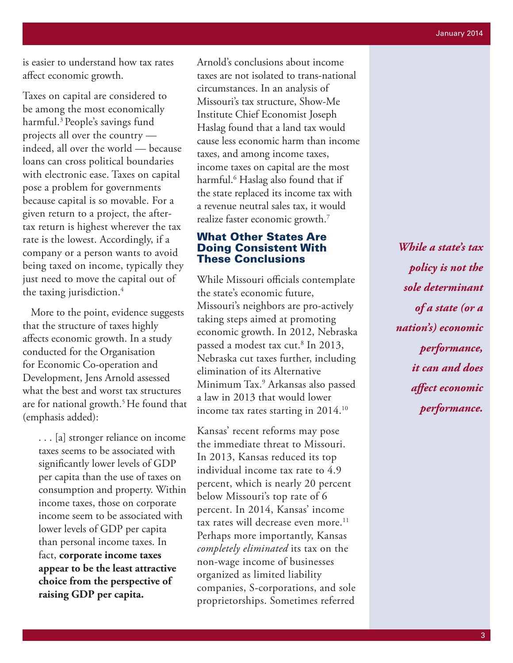is easier to understand how tax rates affect economic growth.

Taxes on capital are considered to be among the most economically harmful.3 People's savings fund projects all over the country indeed, all over the world — because loans can cross political boundaries with electronic ease. Taxes on capital pose a problem for governments because capital is so movable. For a given return to a project, the aftertax return is highest wherever the tax rate is the lowest. Accordingly, if a company or a person wants to avoid being taxed on income, typically they just need to move the capital out of the taxing jurisdiction.<sup>4</sup>

 More to the point, evidence suggests that the structure of taxes highly affects economic growth. In a study conducted for the Organisation for Economic Co-operation and Development, Jens Arnold assessed what the best and worst tax structures are for national growth.<sup>5</sup> He found that (emphasis added):

. . . [a] stronger reliance on income taxes seems to be associated with significantly lower levels of GDP per capita than the use of taxes on consumption and property. Within income taxes, those on corporate income seem to be associated with lower levels of GDP per capita than personal income taxes. In fact, **corporate income taxes appear to be the least attractive choice from the perspective of raising GDP per capita.** 

Arnold's conclusions about income taxes are not isolated to trans-national circumstances. In an analysis of Missouri's tax structure, Show-Me Institute Chief Economist Joseph Haslag found that a land tax would cause less economic harm than income taxes, and among income taxes, income taxes on capital are the most harmful.6 Haslag also found that if the state replaced its income tax with a revenue neutral sales tax, it would realize faster economic growth.7

#### What Other States Are Doing Consistent With These Conclusions

While Missouri officials contemplate the state's economic future, Missouri's neighbors are pro-actively taking steps aimed at promoting economic growth. In 2012, Nebraska passed a modest tax cut.8 In 2013, Nebraska cut taxes further, including elimination of its Alternative Minimum Tax.9 Arkansas also passed a law in 2013 that would lower income tax rates starting in 2014.<sup>10</sup>

Kansas' recent reforms may pose the immediate threat to Missouri. In 2013, Kansas reduced its top individual income tax rate to 4.9 percent, which is nearly 20 percent below Missouri's top rate of 6 percent. In 2014, Kansas' income tax rates will decrease even more.<sup>11</sup> Perhaps more importantly, Kansas *completely eliminated* its tax on the non-wage income of businesses organized as limited liability companies, S-corporations, and sole proprietorships. Sometimes referred

*While a state's tax policy is not the sole determinant of a state (or a nation's) economic performance, it can and does affect economic performance.*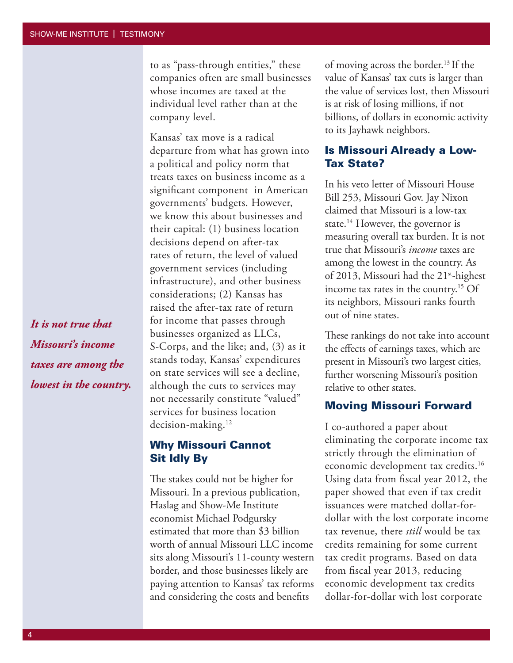to as "pass-through entities," these companies often are small businesses whose incomes are taxed at the individual level rather than at the company level.

Kansas' tax move is a radical departure from what has grown into a political and policy norm that treats taxes on business income as a significant component in American governments' budgets. However, we know this about businesses and their capital: (1) business location decisions depend on after-tax rates of return, the level of valued government services (including infrastructure), and other business considerations; (2) Kansas has raised the after-tax rate of return for income that passes through businesses organized as LLCs, S-Corps, and the like; and, (3) as it stands today, Kansas' expenditures on state services will see a decline, although the cuts to services may not necessarily constitute "valued" services for business location decision-making.12

Why Missouri Cannot Sit Idly By

The stakes could not be higher for Missouri. In a previous publication, Haslag and Show-Me Institute economist Michael Podgursky estimated that more than \$3 billion worth of annual Missouri LLC income sits along Missouri's 11-county western border, and those businesses likely are paying attention to Kansas' tax reforms and considering the costs and benefits

of moving across the border.<sup>13</sup> If the value of Kansas' tax cuts is larger than the value of services lost, then Missouri is at risk of losing millions, if not billions, of dollars in economic activity to its Jayhawk neighbors.

#### Is Missouri Already a Low-Tax State?

In his veto letter of Missouri House Bill 253, Missouri Gov. Jay Nixon claimed that Missouri is a low-tax state.<sup>14</sup> However, the governor is measuring overall tax burden. It is not true that Missouri's *income* taxes are among the lowest in the country. As of 2013, Missouri had the 21<sup>st</sup>-highest income tax rates in the country.15 Of its neighbors, Missouri ranks fourth out of nine states.

These rankings do not take into account the effects of earnings taxes, which are present in Missouri's two largest cities, further worsening Missouri's position relative to other states.

#### Moving Missouri Forward

I co-authored a paper about eliminating the corporate income tax strictly through the elimination of economic development tax credits.<sup>16</sup> Using data from fiscal year 2012, the paper showed that even if tax credit issuances were matched dollar-fordollar with the lost corporate income tax revenue, there *still* would be tax credits remaining for some current tax credit programs. Based on data from fiscal year 2013, reducing economic development tax credits dollar-for-dollar with lost corporate

*It is not true that Missouri's income taxes are among the lowest in the country.*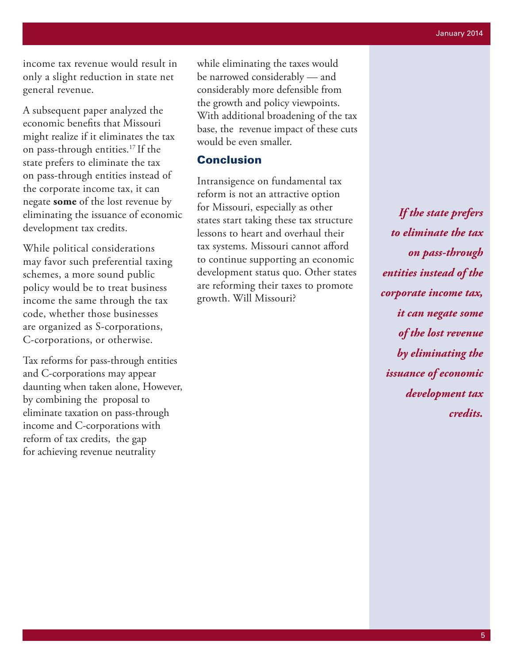income tax revenue would result in only a slight reduction in state net general revenue.

A subsequent paper analyzed the economic benefits that Missouri might realize if it eliminates the tax on pass-through entities.17 If the state prefers to eliminate the tax on pass-through entities instead of the corporate income tax, it can negate **some** of the lost revenue by eliminating the issuance of economic development tax credits.

While political considerations may favor such preferential taxing schemes, a more sound public policy would be to treat business income the same through the tax code, whether those businesses are organized as S-corporations, C-corporations, or otherwise.

Tax reforms for pass-through entities and C-corporations may appear daunting when taken alone, However, by combining the proposal to eliminate taxation on pass-through income and C-corporations with reform of tax credits, the gap for achieving revenue neutrality

while eliminating the taxes would be narrowed considerably — and considerably more defensible from the growth and policy viewpoints. With additional broadening of the tax base, the revenue impact of these cuts would be even smaller.

#### Conclusion

Intransigence on fundamental tax reform is not an attractive option for Missouri, especially as other states start taking these tax structure lessons to heart and overhaul their tax systems. Missouri cannot afford to continue supporting an economic development status quo. Other states are reforming their taxes to promote growth. Will Missouri?

*If the state prefers to eliminate the tax on pass-through entities instead of the corporate income tax, it can negate some of the lost revenue by eliminating the issuance of economic development tax credits.*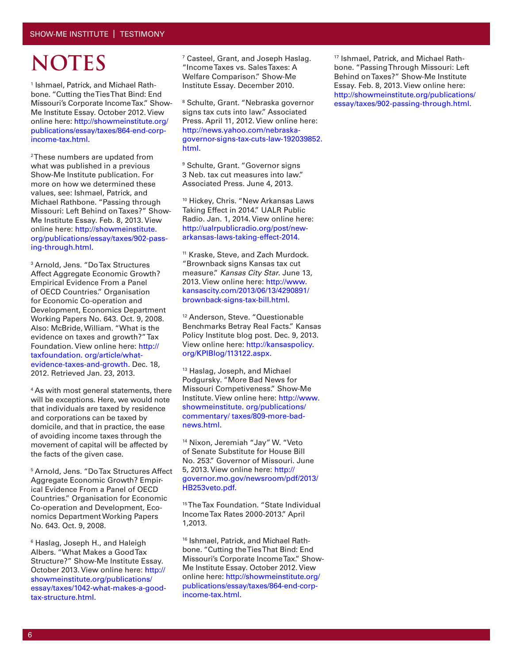### **NOTES**

1 Ishmael, Patrick, and Michael Rathbone. "Cutting the Ties That Bind: End Missouri's Corporate Income Tax." Show-Me Institute Essay. October 2012. View online here: http://showmeinstitute.org/ publications/essay/taxes/864-end-corpincome-tax.html.

2 These numbers are updated from what was published in a previous Show-Me Institute publication. For more on how we determined these values, see: Ishmael, Patrick, and Michael Rathbone. "Passing through Missouri: Left Behind on Taxes?" Show-Me Institute Essay. Feb. 8, 2013. View online here: http://showmeinstitute. org/publications/essay/taxes/902-passing-through.html.

3 Arnold, Jens. "Do Tax Structures Affect Aggregate Economic Growth? Empirical Evidence From a Panel of OECD Countries." Organisation for Economic Co-operation and Development, Economics Department Working Papers No. 643. Oct. 9, 2008. Also: McBride, William. "What is the evidence on taxes and growth?" Tax Foundation. View online here: http:// taxfoundation. org/article/whatevidence-taxes-and-growth. Dec. 18, 2012. Retrieved Jan. 23, 2013.

4 As with most general statements, there will be exceptions. Here, we would note that individuals are taxed by residence and corporations can be taxed by domicile, and that in practice, the ease of avoiding income taxes through the movement of capital will be affected by the facts of the given case.

5 Arnold, Jens. "Do Tax Structures Affect Aggregate Economic Growth? Empirical Evidence From a Panel of OECD Countries." Organisation for Economic Co-operation and Development, Economics Department Working Papers No. 643. Oct. 9, 2008.

6 Haslag, Joseph H., and Haleigh Albers. "What Makes a Good Tax Structure?" Show-Me Institute Essay. October 2013. View online here: http:// showmeinstitute.org/publications/ essay/taxes/1042-what-makes-a-goodtax-structure.html.

7 Casteel, Grant, and Joseph Haslag. "Income Taxes vs. Sales Taxes: A Welfare Comparison." Show-Me Institute Essay. December 2010.

8 Schulte, Grant. "Nebraska governor signs tax cuts into law." Associated Press. April 11, 2012. View online here: http://news.yahoo.com/nebraskagovernor-signs-tax-cuts-law-192039852. html.

9 Schulte, Grant. "Governor signs 3 Neb. tax cut measures into law." Associated Press. June 4, 2013.

10 Hickey, Chris. "New Arkansas Laws Taking Effect in 2014." UALR Public Radio. Jan. 1, 2014. View online here: http://ualrpublicradio.org/post/newarkansas-laws-taking-effect-2014.

<sup>11</sup> Kraske, Steve, and Zach Murdock. "Brownback signs Kansas tax cut measure." *Kansas City Star*. June 13, 2013. View online here: http://www. kansascity.com/2013/06/13/4290891/ brownback-signs-tax-bill.html.

12 Anderson, Steve. "Questionable Benchmarks Betray Real Facts." Kansas Policy Institute blog post. Dec. 9, 2013. View online here: http://kansaspolicy. org/KPIBlog/113122.aspx.

13 Haslag, Joseph, and Michael Podgursky. "More Bad News for Missouri Competiveness." Show-Me Institute. View online here: http://www. showmeinstitute. org/publications/ commentary/ taxes/809-more-badnews.html.

<sup>14</sup> Nixon, Jeremiah "Jay" W. "Veto of Senate Substitute for House Bill No. 253." Governor of Missouri. June 5, 2013. View online here: http:// governor.mo.gov/newsroom/pdf/2013/ HB253veto.pdf.

15 The Tax Foundation. "State Individual Income Tax Rates 2000-2013." April 1,2013.

<sup>16</sup> Ishmael, Patrick, and Michael Rathbone. "Cutting the Ties That Bind: End Missouri's Corporate Income Tax." Show-Me Institute Essay. October 2012. View online here: http://showmeinstitute.org/ publications/essay/taxes/864-end-corpincome-tax.html.

17 Ishmael, Patrick, and Michael Rathbone. "Passing Through Missouri: Left Behind on Taxes?" Show-Me Institute Essay. Feb. 8, 2013. View online here: http://showmeinstitute.org/publications/ essay/taxes/902-passing-through.html.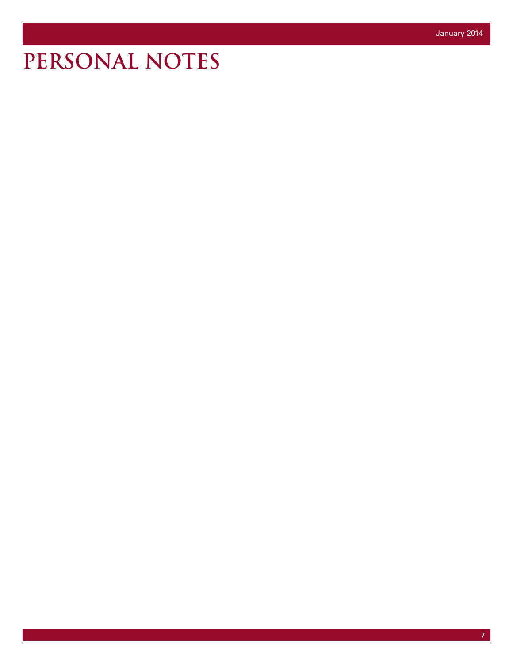## **PERSONAL NOTES**